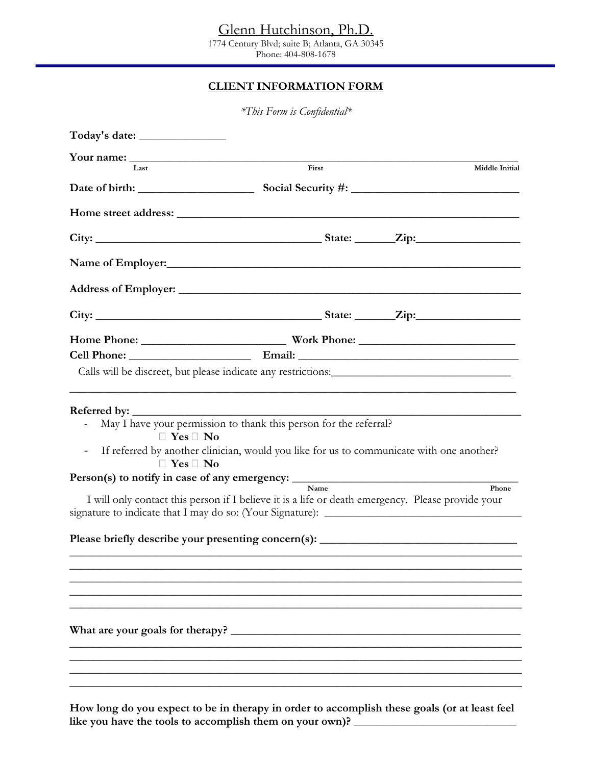Glenn Hutchinson, Ph.D.

1774 Century Blvd; suite B; Atlanta, GA 30345 Phone: 404-808-1678

### **CLIENT INFORMATION FORM**

|                                        | *This Form is Confidential*                                                                       |                |
|----------------------------------------|---------------------------------------------------------------------------------------------------|----------------|
|                                        |                                                                                                   |                |
|                                        |                                                                                                   |                |
| Last                                   | First                                                                                             | Middle Initial |
|                                        |                                                                                                   |                |
|                                        |                                                                                                   |                |
|                                        |                                                                                                   |                |
|                                        |                                                                                                   |                |
|                                        |                                                                                                   |                |
|                                        |                                                                                                   |                |
|                                        |                                                                                                   |                |
|                                        |                                                                                                   |                |
| • Yes • No                             | May I have your permission to thank this person for the referral?                                 |                |
| $\overline{\phantom{a}}$<br>• Yes • No | If referred by another clinician, would you like for us to communicate with one another?          |                |
|                                        | Person(s) to notify in case of any emergency:<br>$\overline{\mathbf{N}}$ ame                      | Phone          |
|                                        | I will only contact this person if I believe it is a life or death emergency. Please provide your |                |
|                                        | Please briefly describe your presenting concern(s): ____________________________                  |                |
|                                        |                                                                                                   |                |
|                                        |                                                                                                   |                |
|                                        |                                                                                                   |                |
|                                        |                                                                                                   |                |
|                                        |                                                                                                   |                |
|                                        |                                                                                                   |                |
|                                        |                                                                                                   |                |

**How long do you expect to be in therapy in order to accomplish these goals (or at least feel**  like you have the tools to accomplish them on your own)?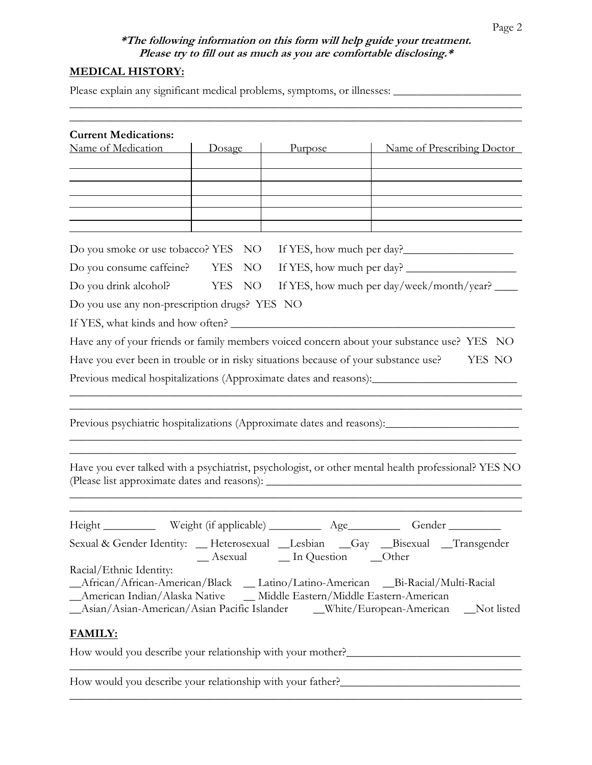## **\*The following information on this form will help guide your treatment. Please try to fill out as much as you are comfortable disclosing.\***

\_\_\_\_\_\_\_\_\_\_\_\_\_\_\_\_\_\_\_\_\_\_\_\_\_\_\_\_\_\_\_\_\_\_\_\_\_\_\_\_\_\_\_\_\_\_\_\_\_\_\_\_\_\_\_\_\_\_\_\_\_\_\_\_\_\_\_\_\_\_\_\_\_\_\_\_\_\_

# **MEDICAL HISTORY:**

Please explain any significant medical problems, symptoms, or illnesses: \_\_\_\_\_\_\_\_\_\_\_\_\_\_\_\_\_\_\_\_\_\_

| <b>Current Medications:</b>                                                         |                        |                                  |                                                                                                     |  |  |
|-------------------------------------------------------------------------------------|------------------------|----------------------------------|-----------------------------------------------------------------------------------------------------|--|--|
| Name of Medication                                                                  | Dosage                 | Purpose                          | Name of Prescribing Doctor                                                                          |  |  |
|                                                                                     |                        |                                  |                                                                                                     |  |  |
|                                                                                     |                        |                                  |                                                                                                     |  |  |
|                                                                                     |                        |                                  |                                                                                                     |  |  |
|                                                                                     |                        |                                  |                                                                                                     |  |  |
| Do you smoke or use tobacco? YES NO                                                 |                        |                                  | If YES, how much per day?                                                                           |  |  |
| Do you consume caffeine? YES                                                        | NO <sub>1</sub>        |                                  |                                                                                                     |  |  |
| Do you drink alcohol?                                                               | YES<br>NO <sub>1</sub> |                                  | If YES, how much per day/week/month/year?                                                           |  |  |
| Do you use any non-prescription drugs? YES NO                                       |                        |                                  |                                                                                                     |  |  |
| If YES, what kinds and how often?                                                   |                        |                                  |                                                                                                     |  |  |
|                                                                                     |                        |                                  | Have any of your friends or family members voiced concern about your substance use? YES NO          |  |  |
| Have you ever been in trouble or in risky situations because of your substance use? |                        |                                  | YES NO                                                                                              |  |  |
|                                                                                     |                        |                                  | Previous medical hospitalizations (Approximate dates and reasons): ________________________________ |  |  |
|                                                                                     |                        |                                  |                                                                                                     |  |  |
|                                                                                     |                        |                                  | Previous psychiatric hospitalizations (Approximate dates and reasons):                              |  |  |
|                                                                                     |                        |                                  |                                                                                                     |  |  |
|                                                                                     |                        |                                  |                                                                                                     |  |  |
|                                                                                     |                        |                                  | Have you ever talked with a psychiatrist, psychologist, or other mental health professional? YES NO |  |  |
|                                                                                     |                        |                                  |                                                                                                     |  |  |
|                                                                                     |                        |                                  |                                                                                                     |  |  |
|                                                                                     |                        |                                  | Height ____________ Weight (if applicable) ___________ Age____________ Gender _________             |  |  |
|                                                                                     |                        | _Asexual __ In Question __ Other | Sexual & Gender Identity: __ Heterosexual __Lesbian __Gay __Bisexual __Transgender                  |  |  |
| Racial/Ethnic Identity:                                                             |                        |                                  |                                                                                                     |  |  |
|                                                                                     |                        |                                  | _African/African-American/Black _ Latino/Latino-American _Bi-Racial/Multi-Racial                    |  |  |
| _American Indian/Alaska Native __ Middle Eastern/Middle Eastern-American            |                        |                                  | _Asian/Asian-American/Asian Pacific Islander ____White/European-American ___Not listed              |  |  |
|                                                                                     |                        |                                  |                                                                                                     |  |  |
| <b>FAMILY:</b>                                                                      |                        |                                  |                                                                                                     |  |  |
|                                                                                     |                        |                                  | How would you describe your relationship with your mother?_______________________                   |  |  |
|                                                                                     |                        |                                  |                                                                                                     |  |  |
|                                                                                     |                        |                                  |                                                                                                     |  |  |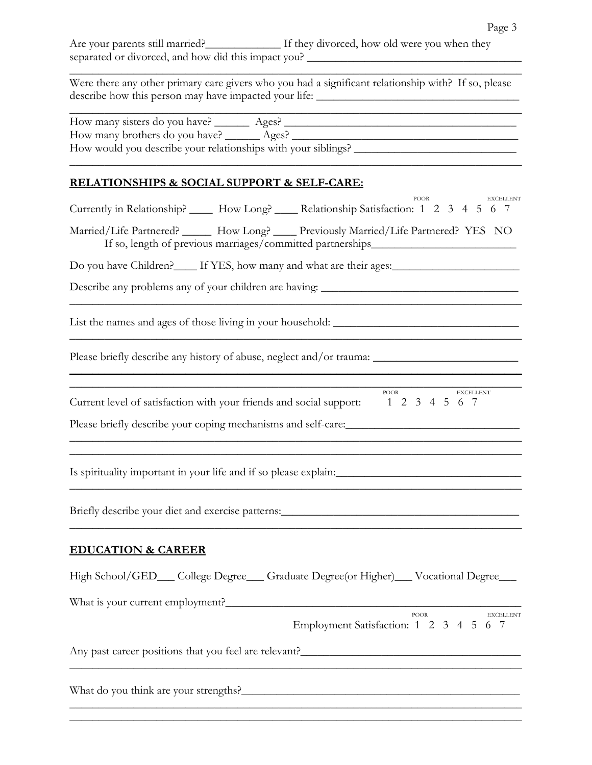Were there any other primary care givers who you had a significant relationship with? If so, please describe how this person may have impacted your life: \_\_\_\_\_\_\_\_\_\_\_\_\_\_\_\_\_\_\_\_\_\_\_\_\_\_

\_\_\_\_\_\_\_\_\_\_\_\_\_\_\_\_\_\_\_\_\_\_\_\_\_\_\_\_\_\_\_\_\_\_\_\_\_\_\_\_\_\_\_\_\_\_\_\_\_\_\_\_\_\_\_\_\_\_\_\_\_\_\_\_\_\_\_\_\_\_\_\_\_\_\_\_\_\_

| How many sisters do you have?                                 | Ages? |  |  |
|---------------------------------------------------------------|-------|--|--|
| How many brothers do you have? ________ Ages?                 |       |  |  |
| How would you describe your relationships with your siblings? |       |  |  |
|                                                               |       |  |  |

### **RELATIONSHIPS & SOCIAL SUPPORT & SELF-CARE:**

| <b>POOR</b><br><b>EXCELLENT</b><br>Currently in Relationship? ______ How Long? _____ Relationship Satisfaction: 1 2 3 4 5 6 7                                                      |
|------------------------------------------------------------------------------------------------------------------------------------------------------------------------------------|
| Married/Life Partnered? ______ How Long? ____ Previously Married/Life Partnered? YES NO<br>If so, length of previous marriages/committed partnerships______________________        |
|                                                                                                                                                                                    |
|                                                                                                                                                                                    |
|                                                                                                                                                                                    |
| Please briefly describe any history of abuse, neglect and/or trauma: _______________________________                                                                               |
| <b>POOR</b><br>EXCELLENT<br>Current level of satisfaction with your friends and social support: 1 2 3 4 5 6 7<br><u> 1989 - Johann John Stone, Amerikaansk politiker (d. 1989)</u> |
| Is spirituality important in your life and if so please explain:___________________________________                                                                                |
|                                                                                                                                                                                    |
| <b>EDUCATION &amp; CAREER</b>                                                                                                                                                      |
| High School/GED__College Degree__Graduate Degree(or Higher)__Vocational Degree__                                                                                                   |
| What is your current employment?                                                                                                                                                   |
| POOR<br><b>EXCELLENT</b><br>Employment Satisfaction: 1 2 3 4 5 6 7                                                                                                                 |
|                                                                                                                                                                                    |
|                                                                                                                                                                                    |

\_\_\_\_\_\_\_\_\_\_\_\_\_\_\_\_\_\_\_\_\_\_\_\_\_\_\_\_\_\_\_\_\_\_\_\_\_\_\_\_\_\_\_\_\_\_\_\_\_\_\_\_\_\_\_\_\_\_\_\_\_\_\_\_\_\_\_\_\_\_\_\_\_\_\_\_\_\_